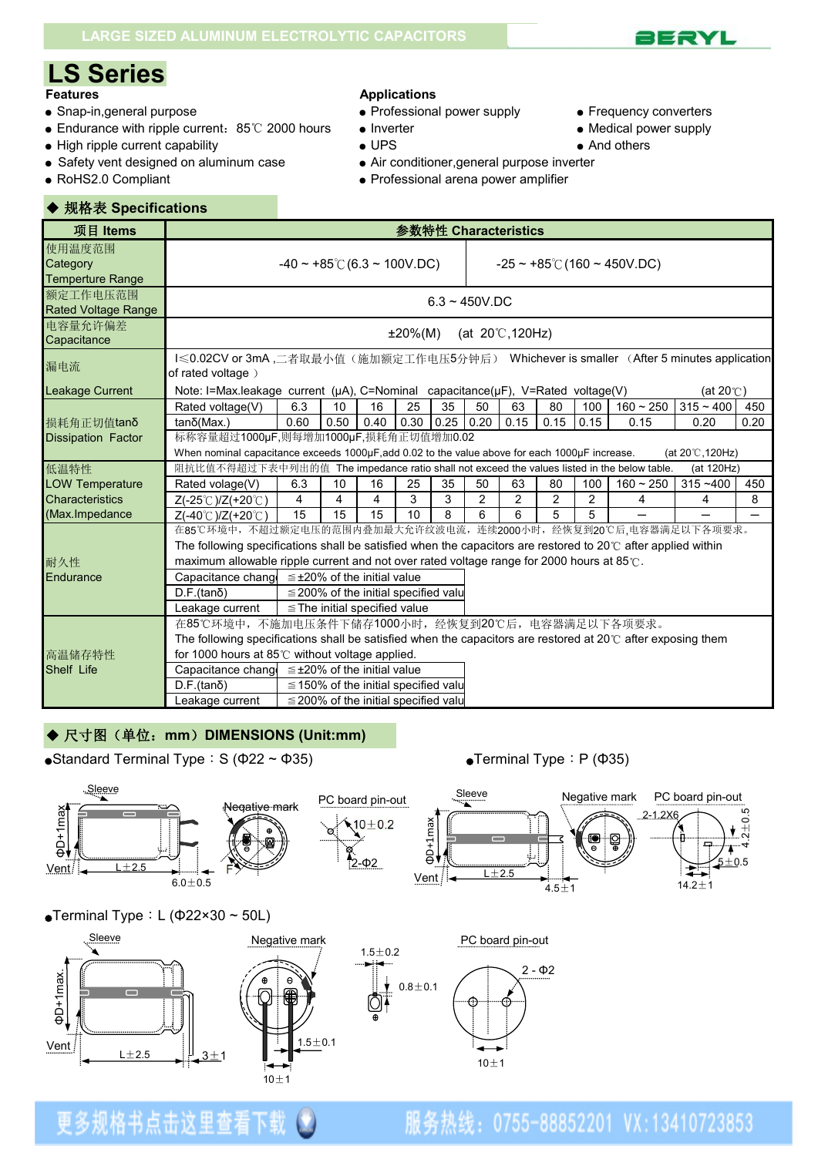

- 
- Snap-in,general purpose Professional power supply Frequency converters ● Endurance with ripple current: 85℃ 2000 hours
- High ripple current capability  $\bullet$  UPS And others
- Safety vent designed on aluminum case Air conditioner, general purpose inverter
- 

#### **Features Applications**

- -
- 
- 
- 
- 
- RoHS2.0 Compliant and arena power amplifier

| ◆ 规格表 Specifications                          |                                                                                                                                                                                                                                                                                                                                                                                                               |                                                                                                                   |      |                                            |            |                  |    |                            |             |     |                                        |                                          |      |
|-----------------------------------------------|---------------------------------------------------------------------------------------------------------------------------------------------------------------------------------------------------------------------------------------------------------------------------------------------------------------------------------------------------------------------------------------------------------------|-------------------------------------------------------------------------------------------------------------------|------|--------------------------------------------|------------|------------------|----|----------------------------|-------------|-----|----------------------------------------|------------------------------------------|------|
| 项目 Items                                      |                                                                                                                                                                                                                                                                                                                                                                                                               |                                                                                                                   |      |                                            |            |                  |    | 参数特性 Characteristics       |             |     |                                        |                                          |      |
| 使用温度范围<br>Category<br><b>Temperture Range</b> |                                                                                                                                                                                                                                                                                                                                                                                                               | $-40 \sim +85^{\circ}$ (6.3 ~ 100V.DC)                                                                            |      |                                            |            |                  |    |                            |             |     | $-25 \sim +85^{\circ}$ (160 ~ 450V.DC) |                                          |      |
| 额定工作电压范围<br><b>Rated Voltage Range</b>        |                                                                                                                                                                                                                                                                                                                                                                                                               |                                                                                                                   |      |                                            |            | $6.3 - 450V$ .DC |    |                            |             |     |                                        |                                          |      |
| 电容量允许偏差<br>Capacitance                        |                                                                                                                                                                                                                                                                                                                                                                                                               |                                                                                                                   |      |                                            | $±20\%(M)$ |                  |    | (at $20^{\circ}$ C, 120Hz) |             |     |                                        |                                          |      |
| 漏电流                                           | I≤0.02CV or 3mA,二者取最小值(施加额定工作电压5分钟后) Whichever is smaller (After 5 minutes application<br>of rated voltage)                                                                                                                                                                                                                                                                                                   |                                                                                                                   |      |                                            |            |                  |    |                            |             |     |                                        |                                          |      |
| <b>Leakage Current</b>                        |                                                                                                                                                                                                                                                                                                                                                                                                               | Note: I=Max.leakage current ( $\mu$ A), C=Nominal capacitance( $\mu$ F), V=Rated voltage(V)<br>(at $20^{\circ}$ ) |      |                                            |            |                  |    |                            |             |     |                                        |                                          |      |
|                                               | Rated voltage(V)                                                                                                                                                                                                                                                                                                                                                                                              | 6.3                                                                                                               | 10   | 16                                         | 25         | 35               | 50 | 63                         | 80          | 100 | $160 - 250$                            | $315 - 400$                              | 450  |
| 损耗角正切值tanδ                                    | $tan\delta$ (Max.)                                                                                                                                                                                                                                                                                                                                                                                            | 0.60                                                                                                              | 0.50 | 0.40                                       | 0.30       | $0.25$ 0.20      |    | 0.15                       | $0.15$ 0.15 |     | 0.15                                   | 0.20                                     | 0.20 |
| <b>Dissipation Factor</b>                     | 标称容量超过1000µF,则每增加1000µF,损耗角正切值增加0.02<br>When nominal capacitance exceeds 1000µF, add 0.02 to the value above for each 1000µF increase.                                                                                                                                                                                                                                                                        |                                                                                                                   |      |                                            |            |                  |    |                            |             |     |                                        |                                          |      |
| 低温特性                                          | 阻抗比值不得超过下表中列出的值 The impedance ratio shall not exceed the values listed in the below table.                                                                                                                                                                                                                                                                                                                    |                                                                                                                   |      |                                            |            |                  |    |                            |             |     |                                        | (at $20^{\circ}$ C, 120Hz)<br>(at 120Hz) |      |
| <b>LOW Temperature</b>                        | Rated volage(V)                                                                                                                                                                                                                                                                                                                                                                                               | 6.3                                                                                                               | 10   | 16                                         | 25         | 35               | 50 | 63                         | 80          | 100 | $160 - 250$                            | $315 - 400$                              | 450  |
| Characteristics                               | $Z(-25^{\circ}C)/Z(+20^{\circ}C)$                                                                                                                                                                                                                                                                                                                                                                             | 4                                                                                                                 | 4    | 4                                          | 3          | 3                | 2  | 2                          | 2           | 2   | 4                                      | 4                                        | 8    |
| (Max.Impedance                                | Z(-40℃)/Z(+20℃)                                                                                                                                                                                                                                                                                                                                                                                               | 15                                                                                                                | 15   | 15                                         | 10         | 8                | 6  | 6                          | 5           | 5   |                                        |                                          |      |
| 耐久性<br>Endurance                              | 在85℃环境中,不超过额定电压的范围内叠加最大允许纹波电流,连续2000小时,经恢复到20℃后,电容器满足以下各项要求。<br>The following specifications shall be satisfied when the capacitors are restored to $20^{\circ}$ after applied within<br>maximum allowable ripple current and not over rated voltage range for 2000 hours at 85℃.<br>Capacitance chang $\leq \pm 20\%$ of the initial value<br>$D.F.(tan\delta)$<br>$\leq$ 200% of the initial specified valu |                                                                                                                   |      |                                            |            |                  |    |                            |             |     |                                        |                                          |      |
|                                               | Leakage current                                                                                                                                                                                                                                                                                                                                                                                               |                                                                                                                   |      | $\le$ The initial specified value          |            |                  |    |                            |             |     |                                        |                                          |      |
|                                               | 在85℃环境中,不施加电压条件下储存1000小时,经恢复到20℃后,电容器满足以下各项要求。<br>The following specifications shall be satisfied when the capacitors are restored at 20 $\degree$ after exposing them                                                                                                                                                                                                                                        |                                                                                                                   |      |                                            |            |                  |    |                            |             |     |                                        |                                          |      |
| 高温储存特性                                        | for 1000 hours at 85℃ without voltage applied.                                                                                                                                                                                                                                                                                                                                                                |                                                                                                                   |      |                                            |            |                  |    |                            |             |     |                                        |                                          |      |
| Shelf Life                                    | Capacitance chang $\leq \pm 20\%$ of the initial value                                                                                                                                                                                                                                                                                                                                                        |                                                                                                                   |      |                                            |            |                  |    |                            |             |     |                                        |                                          |      |
|                                               | $D.F.(tan\delta)$                                                                                                                                                                                                                                                                                                                                                                                             |                                                                                                                   |      | $\leq$ 150% of the initial specified valu  |            |                  |    |                            |             |     |                                        |                                          |      |
|                                               | Leakage current                                                                                                                                                                                                                                                                                                                                                                                               |                                                                                                                   |      | $\leq$ 200% of the initial specified value |            |                  |    |                            |             |     |                                        |                                          |      |

### ◆ 尺寸图(单位: mm) DIMENSIONS (Unit:mm)

•Standard Terminal Type: S ( $\Phi$ 22 ~  $\Phi$ 35) • Terminal Type: P ( $\Phi$ 35)



#### $\bullet$ Terminal Type: L ( $\Phi$ 22×30 ~ 50L)

更多规格书点击这里查看



服务热线: 0755-88852201 VX:13410723853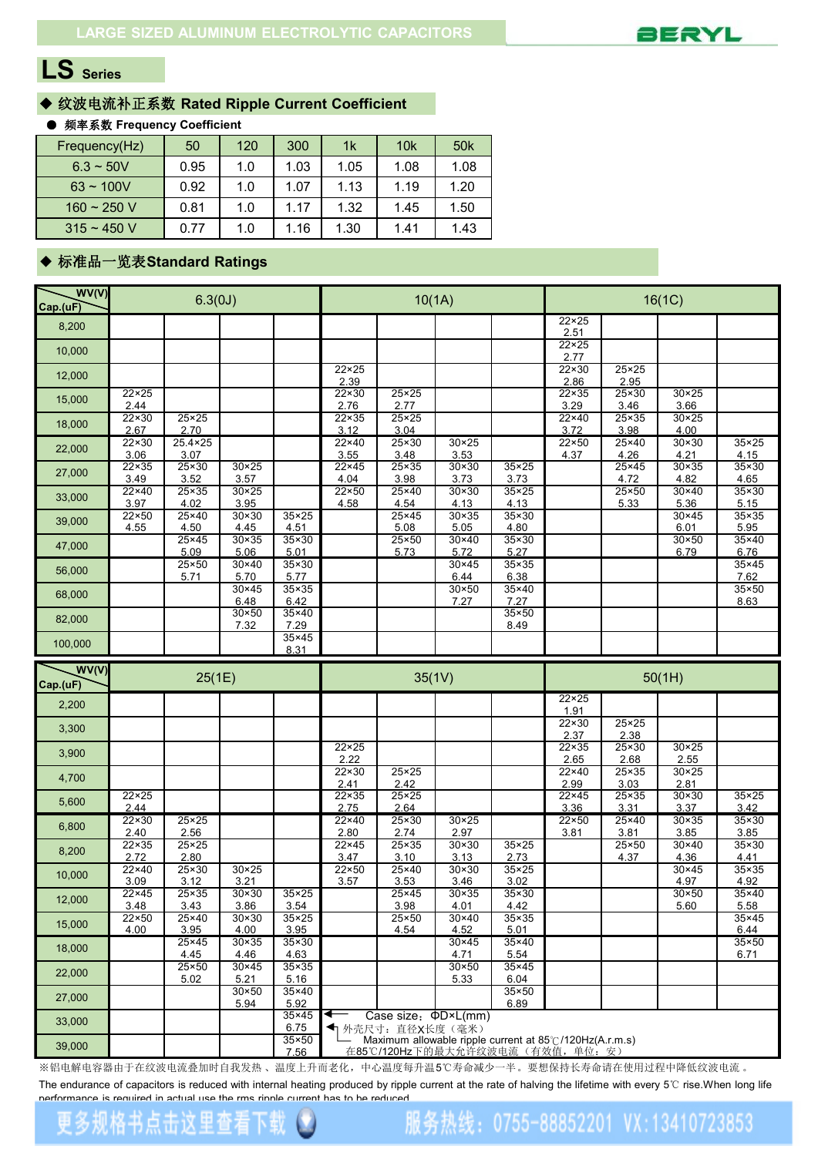

### ◆ 纹波电流补正系数 **Rated Ripple Current Coefficient**

#### ● 频率系数 **Frequency Coefficient**

| Frequency(Hz)  | 50   | 120 | 300  | 1k   | 10 <sub>k</sub> | 50 <sub>k</sub> |
|----------------|------|-----|------|------|-----------------|-----------------|
| $6.3 \sim 50V$ | 0.95 | 1.0 | 1.03 | 1.05 | 1.08            | 1.08            |
| $63 \sim 100V$ | 0.92 | 1.0 | 1.07 | 1.13 | 1.19            | 1.20            |
| $160 - 250$ V  | 0.81 | 1.0 | 1.17 | 1.32 | 1.45            | 1.50            |
| $315 - 450$ V  | 0.77 | 1.0 | .16  | 1.30 | 1.41            | 1.43            |

#### ◆ 标准品一览表**Standard Ratings**

| WV(V)<br>Cap.(uF) |                        | 6.3(0J)                  |                        |                        |                        | 10(1A)                                                                                                            |                        |                        | 16(1C)                 |                        |                        |                        |  |
|-------------------|------------------------|--------------------------|------------------------|------------------------|------------------------|-------------------------------------------------------------------------------------------------------------------|------------------------|------------------------|------------------------|------------------------|------------------------|------------------------|--|
| 8,200             |                        |                          |                        |                        |                        |                                                                                                                   |                        |                        | $22 \times 25$<br>2.51 |                        |                        |                        |  |
| 10,000            |                        |                          |                        |                        |                        |                                                                                                                   |                        |                        | $22 \times 25$<br>2.77 |                        |                        |                        |  |
| 12,000            |                        |                          |                        |                        | $22 \times 25$<br>2.39 |                                                                                                                   |                        |                        | $22 \times 30$<br>2.86 | $25 \times 25$<br>2.95 |                        |                        |  |
| 15,000            | $22 \times 25$<br>2.44 |                          |                        |                        | $22 \times 30$<br>2.76 | $25 \times 25$<br>2.77                                                                                            |                        |                        | $22 \times 35$<br>3.29 | $25 \times 30$<br>3.46 | $30 \times 25$<br>3.66 |                        |  |
| 18,000            | $22 \times 30$<br>2.67 | $25 \times 25$<br>2.70   |                        |                        | 22×35<br>3.12          | $25\times25$<br>3.04                                                                                              |                        |                        | 22×40<br>3.72          | $25 \times 35$<br>3.98 | $30 \times 25$<br>4.00 |                        |  |
| 22,000            | $22 \times 30$<br>3.06 | $25.4 \times 25$<br>3.07 |                        |                        | $22 \times 40$<br>3.55 | $25 \times 30$<br>3.48                                                                                            | $30\times25$<br>3.53   |                        | $22\times50$<br>4.37   | $25 \times 40$<br>4.26 | $30 \times 30$<br>4.21 | $35 \times 25$<br>4.15 |  |
| 27,000            | $22 \times 35$<br>3.49 | 25×30<br>3.52            | $30 \times 25$<br>3.57 |                        | 22×45<br>4.04          | $25 \times 35$<br>3.98                                                                                            | $30 \times 30$<br>3.73 | $35\times25$<br>3.73   |                        | $25 \times 45$<br>4.72 | $30 \times 35$<br>4.82 | 35×30<br>4.65          |  |
| 33,000            | $22 \times 40$<br>3.97 | $25 \times 35$<br>4.02   | $30 \times 25$<br>3.95 |                        | $22 \times 50$<br>4.58 | $25 \times 40$<br>4.54                                                                                            | $30 \times 30$<br>4.13 | $35 \times 25$<br>4.13 |                        | $25 \times 50$<br>5.33 | $30 \times 40$<br>5.36 | $35 \times 30$<br>5.15 |  |
| 39,000            | $22\times50$<br>4.55   | $25\times40$<br>4.50     | $30 \times 30$<br>4.45 | $35 \times 25$<br>4.51 |                        | $25 \times 45$<br>5.08                                                                                            | $30 \times 35$<br>5.05 | $35\times30$<br>4.80   |                        |                        | $30\times 45$<br>6.01  | $35 \times 35$<br>5.95 |  |
| 47,000            |                        | $25 \times 45$<br>5.09   | $30 \times 35$<br>5.06 | $35 \times 30$<br>5.01 |                        | $25 \times 50$<br>5.73                                                                                            | $30 \times 40$<br>5.72 | $35 \times 30$<br>5.27 |                        |                        | $30 \times 50$<br>6.79 | $35\times40$<br>6.76   |  |
| 56,000            |                        | $25 \times 50$<br>5.71   | $30 \times 40$<br>5.70 | $35 \times 30$<br>5.77 |                        |                                                                                                                   | $30 \times 45$<br>6.44 | $35 \times 35$<br>6.38 |                        |                        |                        | 35×45<br>7.62          |  |
| 68,000            |                        |                          | $30 \times 45$<br>6.48 | $35 \times 35$<br>6.42 |                        |                                                                                                                   | $30 \times 50$<br>7.27 | 35×40<br>7.27          |                        |                        |                        | $35 \times 50$<br>8.63 |  |
| 82,000            |                        |                          | $30 \times 50$<br>7.32 | $35\times40$<br>7.29   |                        |                                                                                                                   |                        | $35 \times 50$<br>8.49 |                        |                        |                        |                        |  |
| 100,000           |                        |                          |                        | $35\times45$<br>8.31   |                        |                                                                                                                   |                        |                        |                        |                        |                        |                        |  |
| WV(V)             |                        |                          |                        |                        |                        |                                                                                                                   |                        |                        |                        |                        |                        |                        |  |
| Cap.(uF)          |                        | 25(1E)                   |                        |                        |                        | 35(1V)                                                                                                            |                        |                        |                        |                        | 50(1H)                 |                        |  |
| 2,200             |                        |                          |                        |                        |                        |                                                                                                                   |                        |                        | $22\times25$<br>1.91   |                        |                        |                        |  |
| 3,300             |                        |                          |                        |                        |                        |                                                                                                                   |                        |                        | $22 \times 30$<br>2.37 | $25\times25$<br>2.38   |                        |                        |  |
| 3,900             |                        |                          |                        |                        | $22 \times 25$<br>2.22 |                                                                                                                   |                        |                        | $22 \times 35$<br>2.65 | $25 \times 30$<br>2.68 | $30 \times 25$<br>2.55 |                        |  |
| 4,700             |                        |                          |                        |                        | $22 \times 30$<br>2.41 | $25 \times 25$<br>2.42                                                                                            |                        |                        | 22×40<br>2.99          | $25 \times 35$<br>3.03 | $30 \times 25$<br>2.81 |                        |  |
| 5,600             | $22\times25$<br>2.44   |                          |                        |                        | $22\times35$<br>2.75   | $25\times25$<br>2.64                                                                                              |                        |                        | 22×45<br>3.36          | $25\times35$<br>3.31   | $30 \times 30$<br>3.37 | $35\times25$<br>3.42   |  |
| 6,800             | $22 \times 30$<br>2.40 | $25\times25$<br>2.56     |                        |                        | 22×40<br>2.80          | $25 \times 30$<br>2.74                                                                                            | $30\times25$<br>2.97   |                        | $22\times50$<br>3.81   | 25×40<br>3.81          | $30 \times 35$<br>3.85 | $35 \times 30$<br>3.85 |  |
| 8,200             | $22\times35$<br>2.72   | $25\times25$<br>2.80     |                        |                        | $22 \times 45$<br>3.47 | $25 \times 35$<br>3.10                                                                                            | $30 \times 30$<br>3.13 | $35\times25$<br>2.73   |                        | 25×50<br>4.37          | $30 \times 40$<br>4.36 | $35\times30$<br>4.41   |  |
| 10,000            | 22×40<br>3.09          | $25 \times 30$<br>3.12   | $30\times25$<br>3.21   |                        | $22 \times 50$<br>3.57 | $25\times40$<br>3.53                                                                                              | $30 \times 30$<br>3.46 | $35 \times 25$<br>3.02 |                        |                        | $30 \times 45$<br>4.97 | 35×35<br>4.92          |  |
| 12,000            | $22 \times 45$<br>3.48 | $25 \times 35$<br>3.43   | $30 \times 30$<br>3.86 | $35 \times 25$<br>3.54 |                        | $25 \times 45$<br>3.98                                                                                            | $30\times35$<br>4.01   | $35 \times 30$<br>4.42 |                        |                        | $30 \times 50$<br>5.60 | $35\times40$<br>5.58   |  |
| 15,000            | $22\times50$<br>4.00   | $25 \times 40$<br>3.95   | 30×30<br>4.00          | $35 \times 25$<br>3.95 |                        | $25 \times 50$<br>4.54                                                                                            | $30\times40$<br>4.52   | $35 \times 35$<br>5.01 |                        |                        |                        | $35 \times 45$<br>6.44 |  |
| 18,000            |                        | $25 \times 45$<br>4.45   | 30×35<br>4.46          | $35\times30$<br>4.63   |                        |                                                                                                                   | $30\times 45$<br>4.71  | $35\times40$<br>5.54   |                        |                        |                        | $35 \times 50$<br>6.71 |  |
| 22,000            |                        | $25 \times 50$<br>5.02   | $30 \times 45$<br>5.21 | $35\times35$<br>5.16   |                        |                                                                                                                   | $30 \times 50$<br>5.33 | $35\times45$<br>6.04   |                        |                        |                        |                        |  |
| 27,000            |                        |                          | $30 \times 50$<br>5.94 | $35\times40$<br>5.92   |                        |                                                                                                                   |                        | $35 \times 50$<br>6.89 |                        |                        |                        |                        |  |
| 33,000            |                        |                          |                        | $35\times45$<br>6.75   | ◀                      | Case size: $\Phi D \times L$ (mm)                                                                                 |                        |                        |                        |                        |                        |                        |  |
| 39,000            |                        |                          |                        | $35\times50$           |                        | ← 外壳尺寸: 直径X长度(毫米)<br>Maximum allowable ripple current at 85°C/120Hz(A.r.m.s)<br>在85℃/120Hz下的最大允许纹波电流 (有效值, 单位: 安) |                        |                        |                        |                        |                        |                        |  |

※铝电解电容器由于在纹波电流叠加时自我发热 、温度上升而老化,中心温度每升温5℃寿命减少一半。要想保持长寿命请在使用过程中降低纹波电流 。

The endurance of capacitors is reduced with internal heating produced by ripple current at the rate of halving the lifetime with every 5℃ rise.When long life performance is required in actual use the rms ripple current has to be reduced.

服务热线: 0755-88852201 VX:13410723853

#### 更多规格书点击这里查看下载 u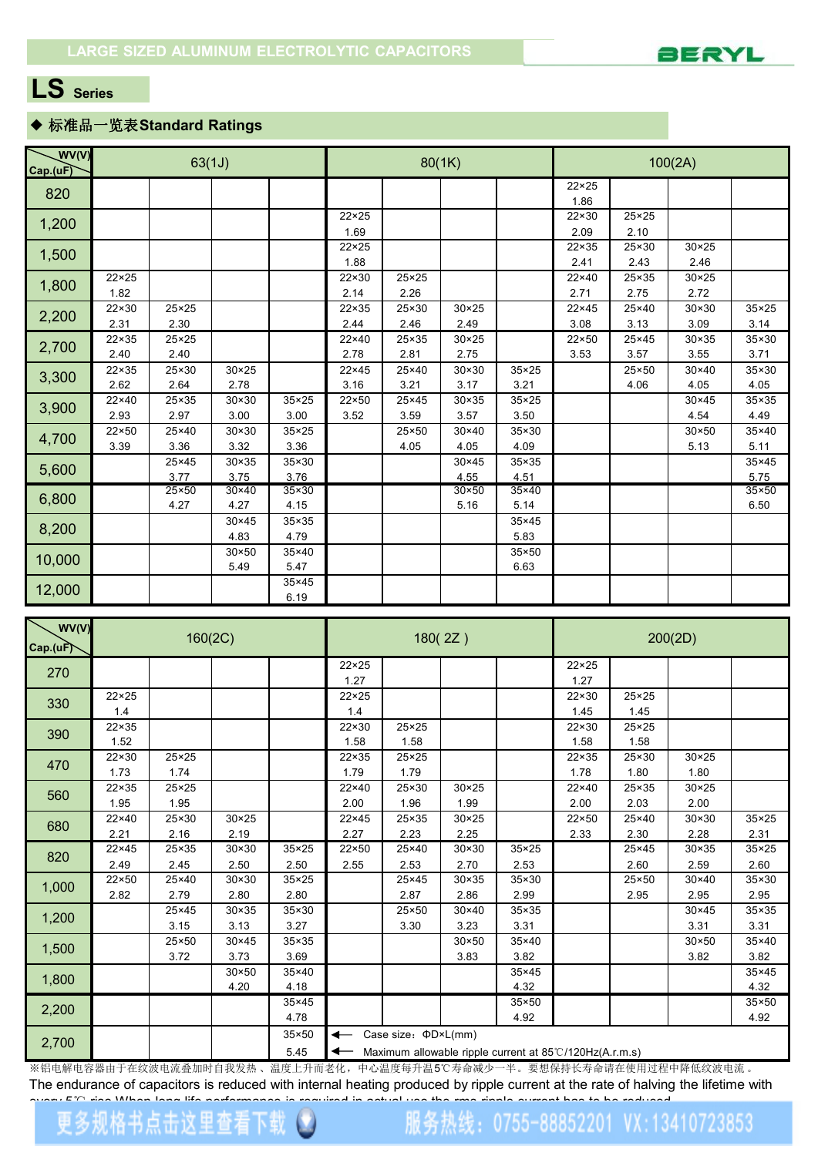

### ◆ 标准品一览表**Standard Ratings**

| WV(V)<br>Cap.(uF)                                                                                                          |                | 63(1J)         |                |                |                        |                | 80(1K)         |                |                       |                | 100(2A)<br>$30 \times 25$<br>2.46<br>$30 \times 25$<br>2.72<br>$30 \times 30$<br>35×25<br>3.14<br>3.09<br>$30 \times 35$<br>35×30<br>3.71<br>3.55<br>$30 \times 40$<br>35×30<br>4.05<br>4.05<br>35×35<br>$30 \times 45$ |              |  |  |  |
|----------------------------------------------------------------------------------------------------------------------------|----------------|----------------|----------------|----------------|------------------------|----------------|----------------|----------------|-----------------------|----------------|-------------------------------------------------------------------------------------------------------------------------------------------------------------------------------------------------------------------------|--------------|--|--|--|
|                                                                                                                            |                |                |                |                |                        |                |                |                | $22 \times 25$        |                |                                                                                                                                                                                                                         |              |  |  |  |
|                                                                                                                            |                |                |                |                |                        |                |                |                | 1.86                  |                |                                                                                                                                                                                                                         |              |  |  |  |
|                                                                                                                            |                |                |                |                | $22 \times 25$         |                |                |                | 22×30                 | $25 \times 25$ |                                                                                                                                                                                                                         |              |  |  |  |
|                                                                                                                            |                |                |                |                | 1.69                   |                |                |                | 2.09                  | 2.10           |                                                                                                                                                                                                                         |              |  |  |  |
|                                                                                                                            |                |                |                |                | $22 \times 25$         |                |                |                | $22 \times 35$        | $25 \times 30$ |                                                                                                                                                                                                                         |              |  |  |  |
|                                                                                                                            | $22 \times 25$ |                |                |                | 1.88<br>$22 \times 30$ | $25 \times 25$ |                |                | 2.41<br>$22\times 40$ | 2.43<br>25×35  |                                                                                                                                                                                                                         |              |  |  |  |
|                                                                                                                            |                |                |                |                |                        |                |                |                |                       |                |                                                                                                                                                                                                                         |              |  |  |  |
|                                                                                                                            | 1.82           |                |                |                | 2.14                   | 2.26           |                |                | 2.71                  | 2.75           |                                                                                                                                                                                                                         |              |  |  |  |
|                                                                                                                            | $22 \times 30$ | 25×25          |                |                | $22 \times 35$         | 25×30          | $30 \times 25$ |                | $22 \times 45$        | $25 \times 40$ |                                                                                                                                                                                                                         |              |  |  |  |
|                                                                                                                            | 2.31           | 2.30           |                |                | 2.44                   | 2.46           | 2.49           |                | 3.08                  | 3.13           |                                                                                                                                                                                                                         |              |  |  |  |
|                                                                                                                            | $22 \times 35$ | 25×25          |                |                | $22\times 40$          | 25×35          | $30 \times 25$ |                | 22×50                 | $25 \times 45$ |                                                                                                                                                                                                                         |              |  |  |  |
|                                                                                                                            | 2.40           | 2.40           |                |                | 2.78                   | 2.81           | 2.75           |                | 3.53                  | 3.57           |                                                                                                                                                                                                                         |              |  |  |  |
|                                                                                                                            | $22 \times 35$ | 25×30          | $30 \times 25$ |                | $22 \times 45$         | 25×40          | $30 \times 30$ | $35 \times 25$ |                       | $25 \times 50$ |                                                                                                                                                                                                                         |              |  |  |  |
|                                                                                                                            | 2.62           | 2.64           | 2.78           |                | 3.16                   | 3.21           | 3.17           | 3.21           |                       | 4.06           |                                                                                                                                                                                                                         |              |  |  |  |
|                                                                                                                            | $22 \times 40$ | 25×35          | $30 \times 30$ | 35×25          | $22 \times 50$         | $25 \times 45$ | 30×35          | $35 \times 25$ |                       |                |                                                                                                                                                                                                                         |              |  |  |  |
|                                                                                                                            | 2.93           | 2.97           | 3.00           | 3.00           | 3.52                   | 3.59           | 3.57           | 3.50           |                       |                | 4.54                                                                                                                                                                                                                    | 4.49         |  |  |  |
| 820<br>1,200<br>1,500<br>1,800<br>2,200<br>2,700<br>3,300<br>3,900<br>4,700<br>5,600<br>6,800<br>8,200<br>10,000<br>12,000 | $22 \times 50$ | 25×40          | $30 \times 30$ | 35×25          |                        | 25×50          | $30 \times 40$ | $35 \times 30$ |                       |                | $30 \times 50$                                                                                                                                                                                                          | 35×40        |  |  |  |
|                                                                                                                            | 3.39           | 3.36           | 3.32           | 3.36           |                        | 4.05           | 4.05           | 4.09           |                       |                | 5.13                                                                                                                                                                                                                    | 5.11         |  |  |  |
|                                                                                                                            |                | 25×45          | $30 \times 35$ | 35×30          |                        |                | 30×45          | $35 \times 35$ |                       |                |                                                                                                                                                                                                                         | 35×45        |  |  |  |
|                                                                                                                            |                | 3.77           | 3.75           | 3.76           |                        |                | 4.55           | 4.51           |                       |                |                                                                                                                                                                                                                         | 5.75         |  |  |  |
|                                                                                                                            |                | $25 \times 50$ | $30\times40$   | $35 \times 30$ |                        |                | $30 \times 50$ | 35×40          |                       |                |                                                                                                                                                                                                                         | $35\times50$ |  |  |  |
|                                                                                                                            |                | 4.27           | 4.27           | 4.15           |                        |                | 5.16           | 5.14           |                       |                |                                                                                                                                                                                                                         | 6.50         |  |  |  |
|                                                                                                                            |                |                | $30 \times 45$ | 35×35          |                        |                |                | $35 \times 45$ |                       |                |                                                                                                                                                                                                                         |              |  |  |  |
|                                                                                                                            |                |                | 4.83           | 4.79           |                        |                |                | 5.83           |                       |                |                                                                                                                                                                                                                         |              |  |  |  |
|                                                                                                                            |                |                | $30 \times 50$ | 35×40          |                        |                |                | 35×50          |                       |                |                                                                                                                                                                                                                         |              |  |  |  |
|                                                                                                                            |                |                | 5.49           | 5.47           |                        |                |                | 6.63           |                       |                |                                                                                                                                                                                                                         |              |  |  |  |
|                                                                                                                            |                |                |                | 35×45          |                        |                |                |                |                       |                |                                                                                                                                                                                                                         |              |  |  |  |
|                                                                                                                            |                |                |                | 6.19           |                        |                |                |                |                       |                |                                                                                                                                                                                                                         |              |  |  |  |

| WV(V)<br>Cap.(uF) |                        | 160(2C)                |                        |                        |                        |                                                                                              | 180(2Z)                |                        |                        |                        | 200(2D)                |               |
|-------------------|------------------------|------------------------|------------------------|------------------------|------------------------|----------------------------------------------------------------------------------------------|------------------------|------------------------|------------------------|------------------------|------------------------|---------------|
| 270               |                        |                        |                        |                        | $22 \times 25$<br>1.27 |                                                                                              |                        |                        | $22 \times 25$<br>1.27 |                        |                        |               |
| 330               | $22 \times 25$<br>1.4  |                        |                        |                        | $22 \times 25$<br>1.4  |                                                                                              |                        |                        | 22×30<br>1.45          | $25 \times 25$<br>1.45 |                        |               |
| 390               | $22 \times 35$<br>1.52 |                        |                        |                        | $22 \times 30$<br>1.58 | $25 \times 25$<br>1.58                                                                       |                        |                        | 22×30<br>1.58          | $25 \times 25$<br>1.58 |                        |               |
| 470               | 22×30<br>1.73          | $25 \times 25$<br>1.74 |                        |                        | $22 \times 35$<br>1.79 | $25 \times 25$<br>1.79                                                                       |                        |                        | 22×35<br>1.78          | $25 \times 30$<br>1.80 | $30 \times 25$<br>1.80 |               |
| 560               | $22 \times 35$<br>1.95 | $25 \times 25$<br>1.95 |                        |                        | $22\times 40$<br>2.00  | 25×30<br>1.96                                                                                | $30 \times 25$<br>1.99 |                        | $22\times 40$<br>2.00  | 25×35<br>2.03          | $30 \times 25$<br>2.00 |               |
| 680               | 22×40<br>2.21          | 25×30<br>2.16          | $30 \times 25$<br>2.19 |                        | $22 \times 45$<br>2.27 | 25×35<br>2.23                                                                                | $30 \times 25$<br>2.25 |                        | 22×50<br>2.33          | 25×40<br>2.30          | $30 \times 30$<br>2.28 | 35×25<br>2.31 |
| 820               | $22 \times 45$<br>2.49 | 25×35<br>2.45          | $30 \times 30$<br>2.50 | 35×25<br>2.50          | 22×50<br>2.55          | 25×40<br>2.53                                                                                | 30×30<br>2.70          | 35×25<br>2.53          |                        | $25 \times 45$<br>2.60 | $30 \times 35$<br>2.59 | 35×25<br>2.60 |
| 1,000             | $22 \times 50$<br>2.82 | 25×40<br>2.79          | $30 \times 30$<br>2.80 | $35 \times 25$<br>2.80 |                        | 25×45<br>2.87                                                                                | $30 \times 35$<br>2.86 | $35 \times 30$<br>2.99 |                        | $25 \times 50$<br>2.95 | $30 \times 40$<br>2.95 | 35×30<br>2.95 |
| 1,200             |                        | $25 \times 45$<br>3.15 | $30 \times 35$<br>3.13 | $35 \times 30$<br>3.27 |                        | 25×50<br>3.30                                                                                | 30×40<br>3.23          | 35×35<br>3.31          |                        |                        | $30 \times 45$<br>3.31 | 35×35<br>3.31 |
| 1,500             |                        | 25×50<br>3.72          | $30 \times 45$<br>3.73 | 35×35<br>3.69          |                        |                                                                                              | $30 \times 50$<br>3.83 | $35\times40$<br>3.82   |                        |                        | $30 \times 50$<br>3.82 | 35×40<br>3.82 |
| 1,800             |                        |                        | $30 \times 50$<br>4.20 | $35\times40$<br>4.18   |                        |                                                                                              |                        | $35 \times 45$<br>4.32 |                        |                        |                        | 35×45<br>4.32 |
| 2,200             |                        |                        |                        | $35 \times 45$<br>4.78 |                        |                                                                                              |                        | $35 \times 50$<br>4.92 |                        |                        |                        | 35×50<br>4.92 |
| 2,700             |                        |                        |                        | 35×50<br>5.45          | $\leftarrow$<br>↞      | Case size: $\Phi D \times L$ (mm)<br>Maximum allowable ripple current at 85°C/120Hz(A.r.m.s) |                        |                        |                        |                        |                        |               |

※铝电解电容器由于在纹波电流叠加时自我发热 、温度上升而老化,中心温度每升温5℃寿命减少一半。要想保持长寿命请在使用过程中降低纹波电流 。 The endurance of capacitors is reduced with internal heating produced by ripple current at the rate of halving the lifetime with automatic at the rate of halving the lifetime with automatic at the rate of the ratio of the